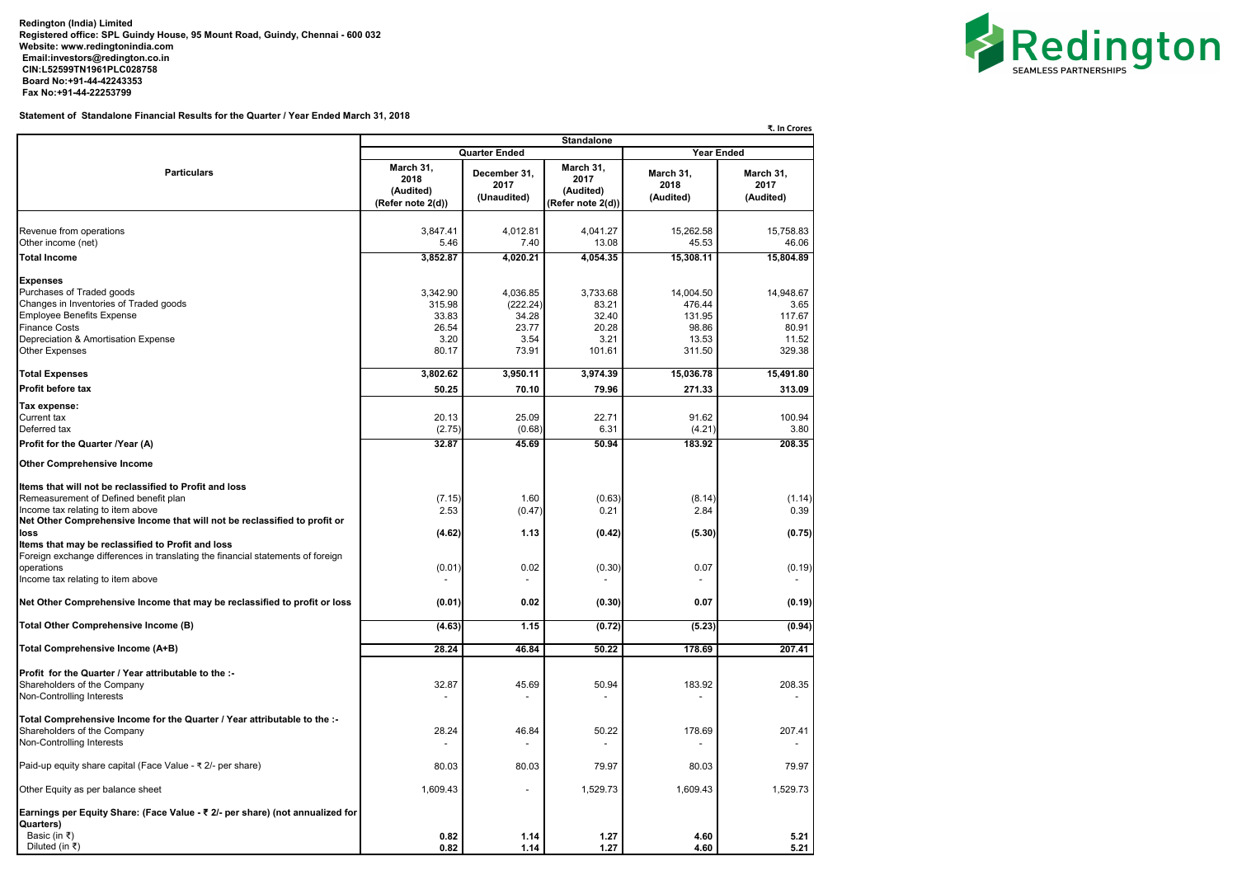**Redington (India) Limited Registered office: SPL Guindy House, 95 Mount Road, Guindy, Chennai - 600 032 Website: [www.redingtonindia.com](http://www.redingtonindia.com) [Email:investors@redington.co.in](mailto:Email:investors@redington.co.in) CIN:L52599TN1961PLC028758 Board No:+91-44-42243353 Fax No:+91-44-22253799**

**Statement of Standalone Financial Results for the Quarter / Year Ended March 31, 2018**

|                                                                                                                                                                                                 |                                                     |                                                |                                                     |                                                 | ₹. In Crores                                  |  |  |
|-------------------------------------------------------------------------------------------------------------------------------------------------------------------------------------------------|-----------------------------------------------------|------------------------------------------------|-----------------------------------------------------|-------------------------------------------------|-----------------------------------------------|--|--|
|                                                                                                                                                                                                 | <b>Standalone</b><br><b>Year Ended</b>              |                                                |                                                     |                                                 |                                               |  |  |
|                                                                                                                                                                                                 |                                                     | <b>Quarter Ended</b>                           |                                                     |                                                 |                                               |  |  |
| <b>Particulars</b>                                                                                                                                                                              | March 31,<br>2018<br>(Audited)<br>(Refer note 2(d)) | December 31,<br>2017<br>(Unaudited)            | March 31,<br>2017<br>(Audited)<br>(Refer note 2(d)) | March 31,<br>2018<br>(Audited)                  | March 31,<br>2017<br>(Audited)                |  |  |
| Revenue from operations<br>Other income (net)                                                                                                                                                   | 3,847.41<br>5.46                                    | 4,012.81<br>7.40                               | 4,041.27<br>13.08                                   | 15,262.58<br>45.53                              | 15,758.83<br>46.06                            |  |  |
| <b>Total Income</b>                                                                                                                                                                             | 3,852.87                                            | 4,020.21                                       | 4,054.35                                            | 15,308.11                                       | 15,804.89                                     |  |  |
| <b>Expenses</b><br>Purchases of Traded goods<br>Changes in Inventories of Traded goods<br>Employee Benefits Expense<br><b>Finance Costs</b><br>Depreciation & Amortisation Expense              | 3,342.90<br>315.98<br>33.83<br>26.54<br>3.20        | 4,036.85<br>(222.24)<br>34.28<br>23.77<br>3.54 | 3,733.68<br>83.21<br>32.40<br>20.28<br>3.21         | 14,004.50<br>476.44<br>131.95<br>98.86<br>13.53 | 14,948.67<br>3.65<br>117.67<br>80.91<br>11.52 |  |  |
| <b>Other Expenses</b>                                                                                                                                                                           | 80.17                                               | 73.91                                          | 101.61                                              | 311.50                                          | 329.38                                        |  |  |
| <b>Total Expenses</b>                                                                                                                                                                           | 3,802.62                                            | 3,950.11                                       | 3,974.39                                            | 15,036.78                                       | 15,491.80                                     |  |  |
| <b>Profit before tax</b>                                                                                                                                                                        | 50.25                                               | 70.10                                          | 79.96                                               | 271.33                                          | 313.09                                        |  |  |
| Tax expense:<br><b>Current tax</b><br>Deferred tax<br>Profit for the Quarter /Year (A)                                                                                                          | 20.13<br>(2.75)<br>32.87                            | 25.09<br>(0.68)<br>45.69                       | 22.71<br>6.31<br>50.94                              | 91.62<br>(4.21)<br>183.92                       | 100.94<br>3.80<br>208.35                      |  |  |
|                                                                                                                                                                                                 |                                                     |                                                |                                                     |                                                 |                                               |  |  |
| <b>Other Comprehensive Income</b><br>Items that will not be reclassified to Profit and loss                                                                                                     |                                                     |                                                |                                                     |                                                 |                                               |  |  |
| Remeasurement of Defined benefit plan<br>Income tax relating to item above<br>Net Other Comprehensive Income that will not be reclassified to profit or                                         | (7.15)<br>2.53                                      | 1.60<br>(0.47)                                 | (0.63)<br>0.21                                      | (8.14)<br>2.84                                  | (1.14)<br>0.39                                |  |  |
| loss<br>Items that may be reclassified to Profit and loss<br>Foreign exchange differences in translating the financial statements of foreign<br>operations<br>Income tax relating to item above | (4.62)<br>(0.01)                                    | 1.13<br>0.02                                   | (0.42)<br>(0.30)                                    | (5.30)<br>0.07                                  | (0.75)<br>(0.19)                              |  |  |
| Net Other Comprehensive Income that may be reclassified to profit or loss                                                                                                                       | (0.01)                                              | 0.02                                           | (0.30)                                              | 0.07                                            | (0.19)                                        |  |  |
| Total Other Comprehensive Income (B)                                                                                                                                                            | (4.63)                                              | 1.15                                           | (0.72)                                              | (5.23)                                          | (0.94)                                        |  |  |
| Total Comprehensive Income (A+B)                                                                                                                                                                | 28.24                                               | 46.84                                          | 50.22                                               | 178.69                                          | 207.41                                        |  |  |
| Profit for the Quarter / Year attributable to the :-<br>Shareholders of the Company<br>Non-Controlling Interests                                                                                | 32.87                                               | 45.69                                          | 50.94                                               | 183.92                                          | 208.35                                        |  |  |
| Total Comprehensive Income for the Quarter / Year attributable to the :-<br>Shareholders of the Company<br>Non-Controlling Interests                                                            | 28.24                                               | 46.84                                          | 50.22                                               | 178.69                                          | 207.41                                        |  |  |
| Paid-up equity share capital (Face Value - ₹ 2/- per share)                                                                                                                                     | 80.03                                               | 80.03                                          | 79.97                                               | 80.03                                           | 79.97                                         |  |  |
| Other Equity as per balance sheet                                                                                                                                                               | 1,609.43                                            |                                                | 1,529.73                                            | 1,609.43                                        | 1,529.73                                      |  |  |
| Earnings per Equity Share: (Face Value - ₹ 2/- per share) (not annualized for<br>Quarters)<br>Basic (in ₹)<br>Diluted (in ₹)                                                                    | 0.82<br>0.82                                        | 1.14<br>1.14                                   | 1.27<br>1.27                                        | 4.60<br>4.60                                    | 5.21<br>5.21                                  |  |  |

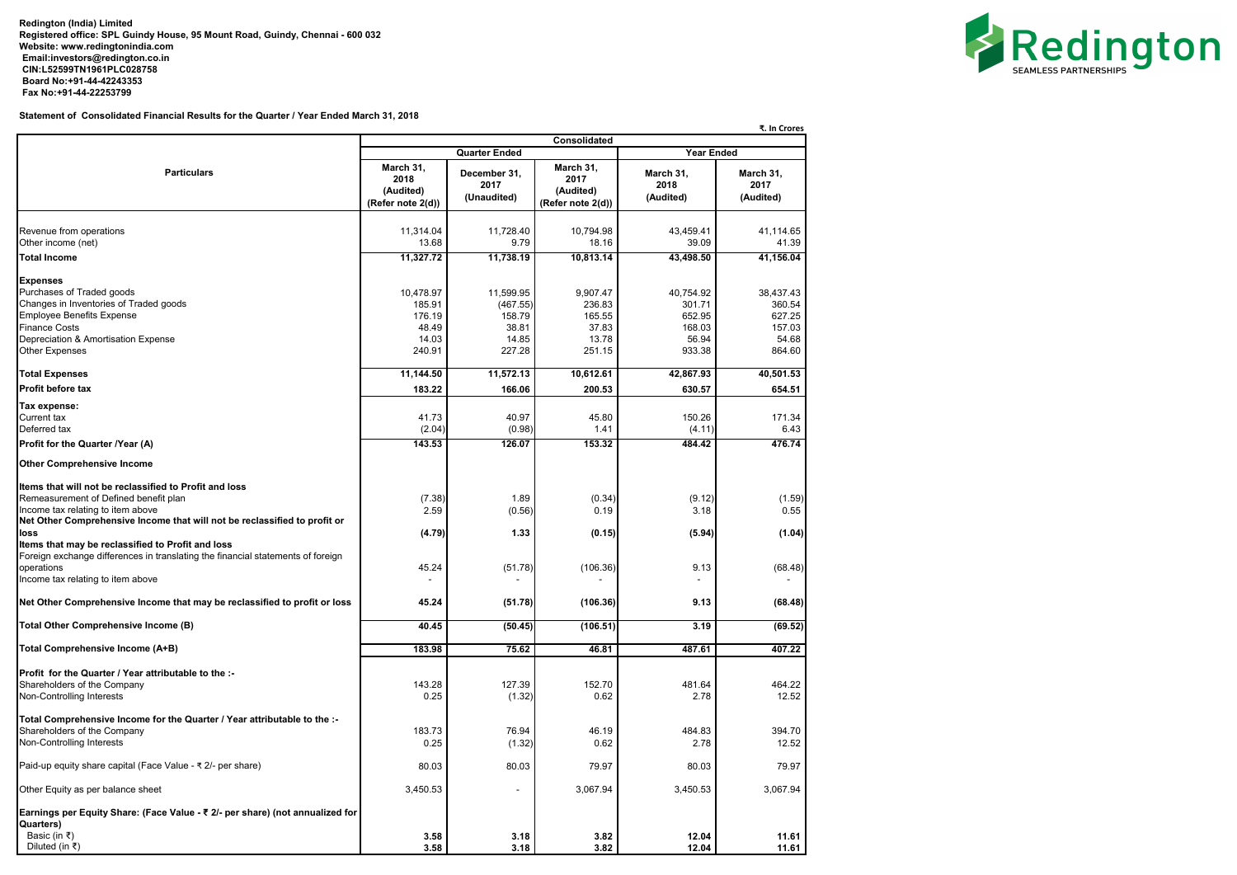**Redington (India) Limited Registered office: SPL Guindy House, 95 Mount Road, Guindy, Chennai - 600 032 Website: [www.redingtonindia.com](http://www.redingtonindia.com) [Email:investors@redington.co.in](mailto:Email:investors@redington.co.in) CIN:L52599TN1961PLC028758 Board No:+91-44-42243353 Fax No:+91-44-22253799**

**Statement of Consolidated Financial Results for the Quarter / Year Ended March 31, 2018**

|                                                                                                                                                                                                                           |                                                     |                                          |                                                     |                                         | ₹. In Crores                            |  |
|---------------------------------------------------------------------------------------------------------------------------------------------------------------------------------------------------------------------------|-----------------------------------------------------|------------------------------------------|-----------------------------------------------------|-----------------------------------------|-----------------------------------------|--|
|                                                                                                                                                                                                                           | <b>Consolidated</b>                                 |                                          |                                                     |                                         |                                         |  |
|                                                                                                                                                                                                                           |                                                     | <b>Quarter Ended</b>                     |                                                     | <b>Year Ended</b>                       |                                         |  |
| <b>Particulars</b>                                                                                                                                                                                                        | March 31,<br>2018<br>(Audited)<br>(Refer note 2(d)) | December 31,<br>2017<br>(Unaudited)      | March 31,<br>2017<br>(Audited)<br>(Refer note 2(d)) | March 31,<br>2018<br>(Audited)          | March 31,<br>2017<br>(Audited)          |  |
| Revenue from operations<br>Other income (net)                                                                                                                                                                             | 11,314.04<br>13.68                                  | 11,728.40<br>9.79                        | 10,794.98<br>18.16                                  | 43,459.41<br>39.09                      | 41,114.65<br>41.39                      |  |
| <b>Total Income</b>                                                                                                                                                                                                       | 11,327.72                                           | 11,738.19                                | 10,813.14                                           | 43,498.50                               | 41,156.04                               |  |
| <b>Expenses</b><br>Purchases of Traded goods<br>Changes in Inventories of Traded goods<br><b>Employee Benefits Expense</b><br><b>Finance Costs</b>                                                                        | 10,478.97<br>185.91<br>176.19<br>48.49              | 11,599.95<br>(467.55)<br>158.79<br>38.81 | 9,907.47<br>236.83<br>165.55<br>37.83               | 40,754.92<br>301.71<br>652.95<br>168.03 | 38,437.43<br>360.54<br>627.25<br>157.03 |  |
| Depreciation & Amortisation Expense                                                                                                                                                                                       | 14.03                                               | 14.85                                    | 13.78                                               | 56.94                                   | 54.68                                   |  |
| <b>Other Expenses</b>                                                                                                                                                                                                     | 240.91                                              | 227.28                                   | 251.15                                              | 933.38                                  | 864.60                                  |  |
| <b>Total Expenses</b>                                                                                                                                                                                                     | 11,144.50                                           | 11,572.13                                | 10,612.61                                           | 42,867.93                               | 40,501.53                               |  |
| <b>Profit before tax</b>                                                                                                                                                                                                  | 183.22                                              | 166.06                                   | 200.53                                              | 630.57                                  | 654.51                                  |  |
|                                                                                                                                                                                                                           |                                                     |                                          |                                                     |                                         |                                         |  |
| Tax expense:<br><b>Current tax</b><br>Deferred tax                                                                                                                                                                        | 41.73<br>(2.04)                                     | 40.97<br>(0.98)                          | 45.80<br>1.41                                       | 150.26<br>(4.11)                        | 171.34<br>6.43                          |  |
| Profit for the Quarter /Year (A)                                                                                                                                                                                          | 143.53                                              | 126.07                                   | 153.32                                              | 484.42                                  | 476.74                                  |  |
| <b>Other Comprehensive Income</b>                                                                                                                                                                                         |                                                     |                                          |                                                     |                                         |                                         |  |
| Items that will not be reclassified to Profit and loss<br>Remeasurement of Defined benefit plan<br>Income tax relating to item above<br>Net Other Comprehensive Income that will not be reclassified to profit or<br>loss | (7.38)<br>2.59<br>(4.79)                            | 1.89<br>(0.56)<br>1.33                   | (0.34)<br>0.19<br>(0.15)                            | (9.12)<br>3.18<br>(5.94)                | (1.59)<br>0.55<br>(1.04)                |  |
| Items that may be reclassified to Profit and loss<br>Foreign exchange differences in translating the financial statements of foreign<br>operations<br>Income tax relating to item above                                   | 45.24                                               | (51.78)                                  | (106.36)                                            | 9.13                                    | (68.48)                                 |  |
| Net Other Comprehensive Income that may be reclassified to profit or loss                                                                                                                                                 | 45.24                                               | (51.78)                                  | (106.36)                                            | 9.13                                    | (68.48)                                 |  |
| Total Other Comprehensive Income (B)                                                                                                                                                                                      | 40.45                                               | (50.45)                                  | (106.51)                                            | 3.19                                    | (69.52)                                 |  |
| Total Comprehensive Income (A+B)                                                                                                                                                                                          | 183.98                                              | 75.62                                    | 46.81                                               | 487.61                                  | 407.22                                  |  |
| <b>Profit for the Quarter / Year attributable to the :-</b><br>Shareholders of the Company<br>Non-Controlling Interests                                                                                                   | 143.28<br>0.25                                      | 127.39<br>(1.32)                         | 152.70<br>0.62                                      | 481.64<br>2.78                          | 464.22<br>12.52                         |  |
| Total Comprehensive Income for the Quarter / Year attributable to the :-<br>Shareholders of the Company<br>Non-Controlling Interests                                                                                      | 183.73<br>0.25                                      | 76.94<br>(1.32)                          | 46.19<br>0.62                                       | 484.83<br>2.78                          | 394.70<br>12.52                         |  |
| Paid-up equity share capital (Face Value - ₹ 2/- per share)                                                                                                                                                               | 80.03                                               | 80.03                                    | 79.97                                               | 80.03                                   | 79.97                                   |  |
| Other Equity as per balance sheet                                                                                                                                                                                         | 3,450.53                                            |                                          | 3,067.94                                            | 3,450.53                                | 3,067.94                                |  |
| Earnings per Equity Share: (Face Value - ₹ 2/- per share) (not annualized for<br>Quarters)<br>Basic (in ₹)                                                                                                                | 3.58                                                | 3.18                                     | 3.82                                                | 12.04                                   | 11.61                                   |  |
| Diluted (in ₹)                                                                                                                                                                                                            | 3.58                                                | 3.18                                     | 3.82                                                | 12.04                                   | 11.61                                   |  |